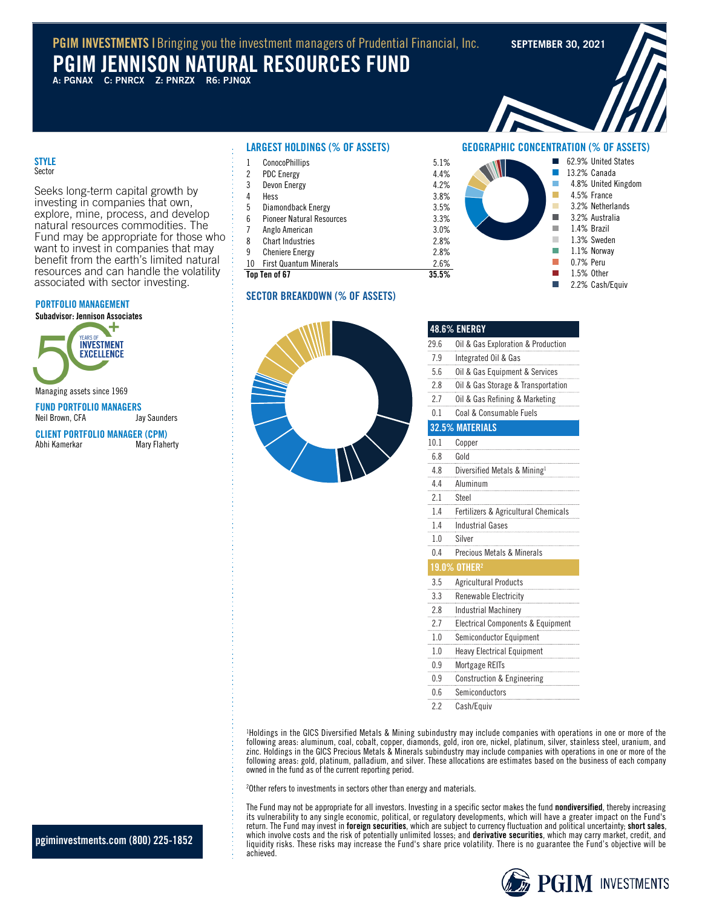## **PGIM INVESTMENTS I** Bringing you the investment managers of Prudential Financial, Inc. SEPTEMBER 30, 2021

# **PGIM JENNISON NATURAL RESOURCES FUND**

**A: PGNAX C: PNRCX Z: PNRZX R6: PJNQX**

**GEOGRAPHIC CONCENTRATION (% OF ASSETS)**

T. r. ٠ п × × п п П

62.9% United States 13.2% Canada 4.8% United Kingdom 4.5% France 3.2% Netherlands 3.2% Australia 1.4% Brazil 1.3% Sweden 1.1% Norway 0.7% Peru 1.5% Other 2.2% Cash/Equiv

## **STYLE** Sector

Seeks long-term capital growth by investing in companies that own, explore, mine, process, and develop natural resources commodities. The Fund may be appropriate for those who want to invest in companies that may benefit from the earth's limited natural resources and can handle the volatility associated with sector investing.

## **PORTFOLIO MANAGEMENT**

**Subadvisor: Jennison Associates**



Managing assets since 1969

**FUND PORTFOLIO MANAGERS** Neil Brown, CFA

**CLIENT PORTFOLIO MANAGER (CPM)** Abhi Kamerkar

## **LARGEST HOLDINGS (% OF ASSETS)**

|    | Top Ten of 67                    | 35.5% |
|----|----------------------------------|-------|
| 10 | <b>First Quantum Minerals</b>    | 2.6%  |
| 9  | <b>Cheniere Energy</b>           | 2.8%  |
| 8  | <b>Chart Industries</b>          | 2.8%  |
| 7  | Anglo American                   | 3.0%  |
| 6  | <b>Pioneer Natural Resources</b> | 3.3%  |
| 5  | Diamondback Energy               | 3.5%  |
| 4  | Hess                             | 3.8%  |
| 3  | Devon Energy                     | 4.2%  |
| 2  | <b>PDC Energy</b>                | 4.4%  |
| 1  | <b>ConocoPhillips</b>            | 5.1%  |
|    |                                  |       |

## **SECTOR BREAKDOWN (% OF ASSETS)**



|      | <b>48.6% ENERGY</b>                      |
|------|------------------------------------------|
| 29.6 | Oil & Gas Exploration & Production       |
| 7.9  | Integrated Oil & Gas                     |
| 5.6  | Oil & Gas Equipment & Services           |
| 2.8  | Oil & Gas Storage & Transportation       |
| 2.7  | Oil & Gas Refining & Marketing           |
| 0.1  | Coal & Consumable Fuels                  |
|      | 32.5% MATERIALS                          |
| 10.1 | Copper                                   |
| 6.8  | Gold                                     |
| 4.8  | Diversified Metals & Mining <sup>1</sup> |
| 4.4  | Aluminum                                 |
| 2.1  | Steel                                    |
| 1.4  | Fertilizers & Agricultural Chemicals     |
| 1.4  | <b>Industrial Gases</b>                  |
| 1.0  | Silver                                   |
| 0.4  | Precious Metals & Minerals               |
|      | $19.0\%$ other?                          |
| 3.5  | <b>Agricultural Products</b>             |
| 3.3  | Renewable Electricity                    |
| 2.8  | <b>Industrial Machinery</b>              |
| 2.7  | Electrical Components & Equipment        |
| 1.0  | Semiconductor Equipment                  |
| 1.0  | <b>Heavy Electrical Equipment</b>        |
| 0.9  | <b>Mortgage REITs</b>                    |
| 0.9  | <b>Construction &amp; Engineering</b>    |
| 0.6  | Semiconductors                           |
| 2.2  | Cash/Equiv                               |

<sup>1</sup>Holdings in the GICS Diversified Metals & Mining subindustry may include companies with operations in one or more of the following areas: aluminum, coal, cobalt, copper, diamonds, gold, iron ore, nickel, platinum, silver, stainless steel, uranium, and zinc. Holdings in the GICS Precious Metals & Minerals subindustry may include companies with operations in one or more of the following areas: gold, platinum, palladium, and silver. These allocations are estimates based on the business of each company owned in the fund as of the current reporting period.

<sup>2</sup>Other refers to investments in sectors other than energy and materials.

The Fund may not be appropriate for all investors. Investing in a specific sector makes the fund **nondiversified**, thereby increasing its vulnerability to any single economic, political, or regulatory developments, which will have a greater impact on the Fund's return. The Fund may invest in **foreign securities**, which are subject to currency fluctuation and political uncertainty; **short sales**, which involve costs and the risk of potentially unlimited losses; and **derivative securities**, which may carry market, credit, and liquidity risks. These risks may increase the Fund's share price volatility. There is no guarantee the Fund's objective will be achieved.